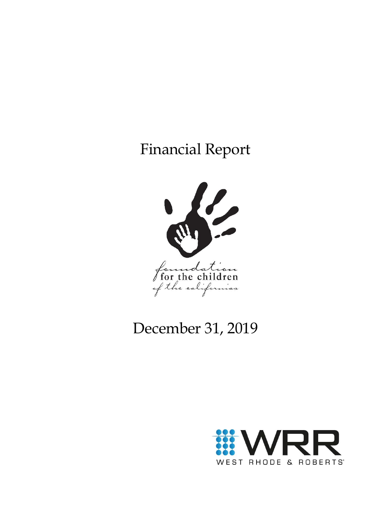# Financial Report



# December 31, 2019

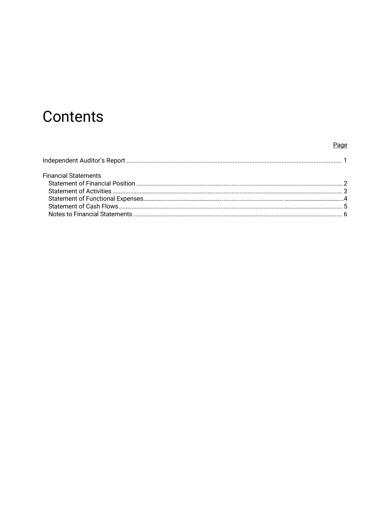# Contents

# Page

| <b>Financial Statements</b> |  |
|-----------------------------|--|
|                             |  |
|                             |  |
|                             |  |
|                             |  |
|                             |  |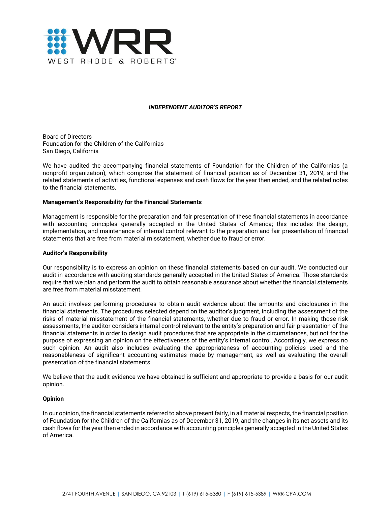

#### *INDEPENDENT AUDITOR'S REPORT*

Board of Directors Foundation for the Children of the Californias San Diego, California

We have audited the accompanying financial statements of Foundation for the Children of the Californias (a nonprofit organization), which comprise the statement of financial position as of December 31, 2019, and the related statements of activities, functional expenses and cash flows for the year then ended, and the related notes to the financial statements.

#### **Management's Responsibility for the Financial Statements**

Management is responsible for the preparation and fair presentation of these financial statements in accordance with accounting principles generally accepted in the United States of America; this includes the design, implementation, and maintenance of internal control relevant to the preparation and fair presentation of financial statements that are free from material misstatement, whether due to fraud or error.

#### **Auditor's Responsibility**

Our responsibility is to express an opinion on these financial statements based on our audit. We conducted our audit in accordance with auditing standards generally accepted in the United States of America. Those standards require that we plan and perform the audit to obtain reasonable assurance about whether the financial statements are free from material misstatement.

An audit involves performing procedures to obtain audit evidence about the amounts and disclosures in the financial statements. The procedures selected depend on the auditor's judgment, including the assessment of the risks of material misstatement of the financial statements, whether due to fraud or error. In making those risk assessments, the auditor considers internal control relevant to the entity's preparation and fair presentation of the financial statements in order to design audit procedures that are appropriate in the circumstances, but not for the purpose of expressing an opinion on the effectiveness of the entity's internal control. Accordingly, we express no such opinion. An audit also includes evaluating the appropriateness of accounting policies used and the reasonableness of significant accounting estimates made by management, as well as evaluating the overall presentation of the financial statements.

We believe that the audit evidence we have obtained is sufficient and appropriate to provide a basis for our audit opinion.

#### **Opinion**

In our opinion, the financial statements referred to above present fairly, in all material respects, the financial position of Foundation for the Children of the Californias as of December 31, 2019, and the changes in its net assets and its cash flows for the year then ended in accordance with accounting principles generally accepted in the United States of America.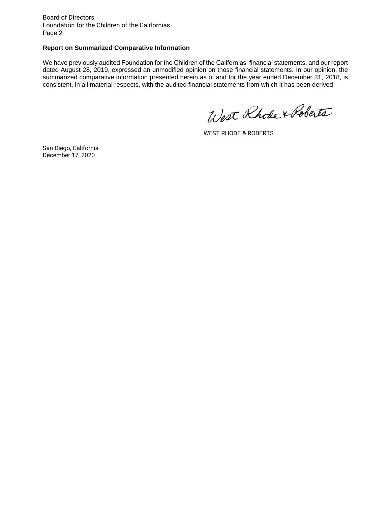Board of Directors Foundation for the Children of the Californias Page 2

#### **Report on Summarized Comparative Information**

We have previously audited Foundation for the Children of the Californias' financial statements, and our report dated August 28, 2019, expressed an unmodified opinion on those financial statements. In our opinion, the summarized comparative information presented herein as of and for the year ended December 31, 2018, is consistent, in all material respects, with the audited financial statements from which it has been derived.

West Rhode & Roberts

WEST RHODE & ROBERTS

San Diego, California December 17, 2020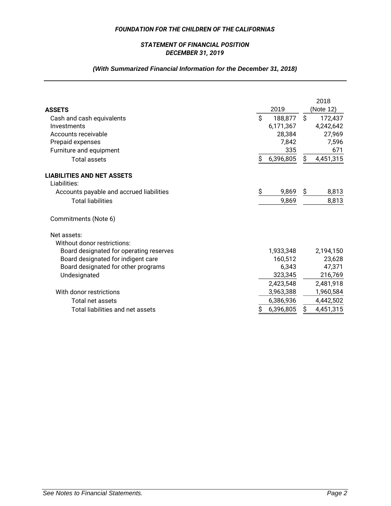## *STATEMENT OF FINANCIAL POSITION DECEMBER 31, 2019*

# *(With Summarized Financial Information for the December 31, 2018)*

| <b>ASSETS</b>                            | 2019          | 2018<br>(Note 12) |
|------------------------------------------|---------------|-------------------|
| Cash and cash equivalents                | Ś.<br>188,877 | Ŝ.<br>172,437     |
| Investments                              | 6,171,367     | 4,242,642         |
| Accounts receivable                      | 28,384        | 27,969            |
| Prepaid expenses                         | 7,842         | 7,596             |
| Furniture and equipment                  | 335           | 671               |
| <b>Total assets</b>                      | 6,396,805     | 4,451,315<br>S.   |
| <b>LIABILITIES AND NET ASSETS</b>        |               |                   |
| Liabilities:                             |               |                   |
| Accounts payable and accrued liabilities | \$<br>9,869   | \$<br>8,813       |
| <b>Total liabilities</b>                 | 9,869         | 8,813             |
| Commitments (Note 6)                     |               |                   |
| Net assets:                              |               |                   |
| Without donor restrictions:              |               |                   |
| Board designated for operating reserves  | 1,933,348     | 2,194,150         |
| Board designated for indigent care       | 160,512       | 23,628            |
| Board designated for other programs      | 6,343         | 47,371            |
| Undesignated                             | 323,345       | 216,769           |
|                                          | 2,423,548     | 2,481,918         |
| With donor restrictions                  | 3,963,388     | 1,960,584         |
| Total net assets                         | 6,386,936     | 4,442,502         |
| Total liabilities and net assets         | 6,396,805     | \$<br>4,451,315   |
|                                          |               |                   |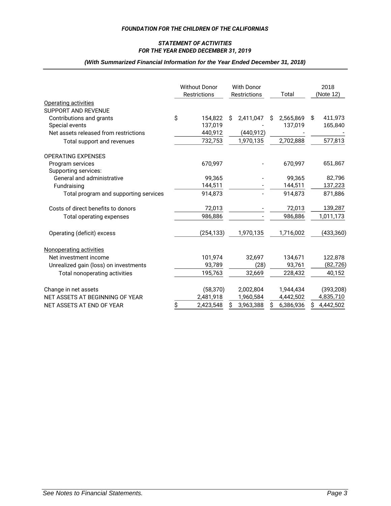### *FOR THE YEAR ENDED DECEMBER 31, 2019 STATEMENT OF ACTIVITIES*

### *(With Summarized Financial Information for the Year Ended December 31, 2018)*

|                                       | <b>Without Donor</b><br><b>Restrictions</b> | <b>With Donor</b><br><b>Restrictions</b> |            | Total |           | 2018<br>(Note 12) |           |  |
|---------------------------------------|---------------------------------------------|------------------------------------------|------------|-------|-----------|-------------------|-----------|--|
| Operating activities                  |                                             |                                          |            |       |           |                   |           |  |
| SUPPORT AND REVENUE                   |                                             |                                          |            |       |           |                   |           |  |
| Contributions and grants              | \$<br>154,822                               | S                                        | 2,411,047  | Ŝ     | 2,565,869 | \$                | 411,973   |  |
| Special events                        | 137,019                                     |                                          |            |       | 137,019   |                   | 165,840   |  |
| Net assets released from restrictions | 440,912                                     |                                          | (440, 912) |       |           |                   |           |  |
| Total support and revenues            | 732,753                                     |                                          | 1,970,135  |       | 2,702,888 |                   | 577,813   |  |
| <b>OPERATING EXPENSES</b>             |                                             |                                          |            |       |           |                   |           |  |
| Program services                      | 670.997                                     |                                          |            |       | 670.997   |                   | 651,867   |  |
| Supporting services:                  |                                             |                                          |            |       |           |                   |           |  |
| General and administrative            | 99,365                                      |                                          |            |       | 99,365    |                   | 82,796    |  |
| Fundraising                           | 144,511                                     |                                          |            |       | 144,511   |                   | 137,223   |  |
| Total program and supporting services | 914,873                                     |                                          |            |       | 914,873   |                   | 871,886   |  |
| Costs of direct benefits to donors    | 72,013                                      |                                          |            |       | 72,013    |                   | 139,287   |  |
| Total operating expenses              | 986,886                                     |                                          |            |       | 986,886   |                   | 1,011,173 |  |
| Operating (deficit) excess            | (254, 133)                                  |                                          | 1,970,135  |       | 1,716,002 |                   | (433,360) |  |
| Nonoperating activities               |                                             |                                          |            |       |           |                   |           |  |
| Net investment income                 | 101,974                                     |                                          | 32,697     |       | 134,671   |                   | 122,878   |  |
| Unrealized gain (loss) on investments | 93,789                                      |                                          | (28)       |       | 93,761    |                   | (82, 726) |  |
| Total nonoperating activities         | 195,763                                     |                                          | 32,669     |       | 228,432   |                   | 40,152    |  |
| Change in net assets                  | (58, 370)                                   |                                          | 2,002,804  |       | 1,944,434 |                   | (393,208) |  |
| NET ASSETS AT BEGINNING OF YEAR       | 2,481,918                                   |                                          | 1,960,584  |       | 4,442,502 |                   | 4,835,710 |  |
| NET ASSETS AT END OF YEAR             | \$<br>2,423,548                             | S                                        | 3,963,388  | Ŝ     | 6,386,936 | S                 | 4,442,502 |  |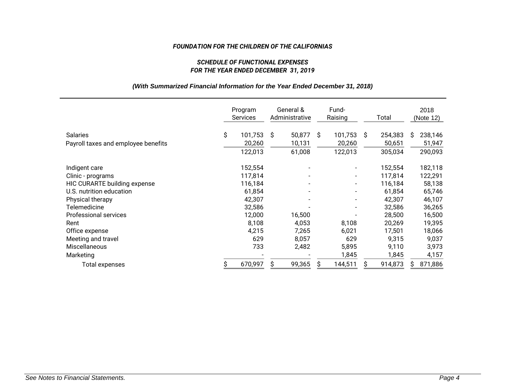## *FOR THE YEAR ENDED DECEMBER 31, 2019 SCHEDULE OF FUNCTIONAL EXPENSES*

## *(With Summarized Financial Information for the Year Ended December 31, 2018)*

|                                     | Program<br>Services |    | General &<br>Administrative |    | Fund-<br>Raising         |    | Total   |    | 2018<br>(Note 12) |
|-------------------------------------|---------------------|----|-----------------------------|----|--------------------------|----|---------|----|-------------------|
| <b>Salaries</b>                     | \$<br>101,753       | S. | 50,877                      | Ŝ. | 101,753                  | Ŝ. | 254,383 | S. | 238,146           |
| Payroll taxes and employee benefits | 20,260              |    | 10,131                      |    | 20,260                   |    | 50,651  |    | 51,947            |
|                                     | 122,013             |    | 61,008                      |    | 122,013                  |    | 305,034 |    | 290,093           |
| Indigent care                       | 152,554             |    |                             |    |                          |    | 152,554 |    | 182,118           |
| Clinic - programs                   | 117,814             |    |                             |    | $\blacksquare$           |    | 117,814 |    | 122,291           |
| HIC CURARTE building expense        | 116,184             |    |                             |    | $\overline{\phantom{a}}$ |    | 116,184 |    | 58,138            |
| U.S. nutrition education            | 61,854              |    |                             |    |                          |    | 61,854  |    | 65,746            |
| Physical therapy                    | 42,307              |    |                             |    |                          |    | 42,307  |    | 46,107            |
| Telemedicine                        | 32,586              |    |                             |    |                          |    | 32,586  |    | 36,265            |
| Professional services               | 12,000              |    | 16,500                      |    |                          |    | 28,500  |    | 16,500            |
| Rent                                | 8,108               |    | 4,053                       |    | 8,108                    |    | 20,269  |    | 19,395            |
| Office expense                      | 4,215               |    | 7,265                       |    | 6,021                    |    | 17,501  |    | 18,066            |
| Meeting and travel                  | 629                 |    | 8,057                       |    | 629                      |    | 9,315   |    | 9,037             |
| Miscellaneous                       | 733                 |    | 2,482                       |    | 5,895                    |    | 9,110   |    | 3,973             |
| Marketing                           |                     |    |                             |    | 1,845                    |    | 1,845   |    | 4,157             |
| Total expenses                      | 670,997             | S  | 99,365                      | S  | 144,511                  | S  | 914,873 |    | 871,886           |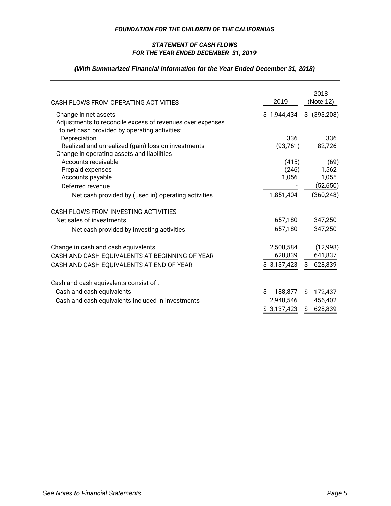## *FOR THE YEAR ENDED DECEMBER 31, 2019 STATEMENT OF CASH FLOWS*

# *(With Summarized Financial Information for the Year Ended December 31, 2018)*

| CASH FLOWS FROM OPERATING ACTIVITIES                                                                                               | 2019         | 2018<br>(Note 12) |
|------------------------------------------------------------------------------------------------------------------------------------|--------------|-------------------|
| Change in net assets<br>Adjustments to reconcile excess of revenues over expenses<br>to net cash provided by operating activities: | \$1,944,434  | $$$ (393,208)     |
| Depreciation                                                                                                                       | 336          | 336               |
| Realized and unrealized (gain) loss on investments<br>Change in operating assets and liabilities                                   | (93,761)     | 82,726            |
| Accounts receivable                                                                                                                | (415)        | (69)              |
| Prepaid expenses                                                                                                                   | (246)        | 1,562             |
| Accounts payable                                                                                                                   | 1,056        | 1,055             |
| Deferred revenue                                                                                                                   |              | (52, 650)         |
| Net cash provided by (used in) operating activities                                                                                | 1,851,404    | (360,248)         |
| CASH FLOWS FROM INVESTING ACTIVITIES                                                                                               |              |                   |
| Net sales of investments                                                                                                           | 657,180      | 347,250           |
| Net cash provided by investing activities                                                                                          | 657,180      | 347,250           |
| Change in cash and cash equivalents                                                                                                | 2,508,584    | (12,998)          |
| CASH AND CASH EQUIVALENTS AT BEGINNING OF YEAR                                                                                     | 628,839      | 641,837           |
| CASH AND CASH EQUIVALENTS AT END OF YEAR                                                                                           | \$3,137,423  | 628,839<br>S.     |
| Cash and cash equivalents consist of :                                                                                             |              |                   |
| Cash and cash equivalents                                                                                                          | Ś<br>188,877 | Ŝ.<br>172,437     |
| Cash and cash equivalents included in investments                                                                                  | 2,948,546    | 456,402           |
|                                                                                                                                    | \$3,137,423  | \$<br>628,839     |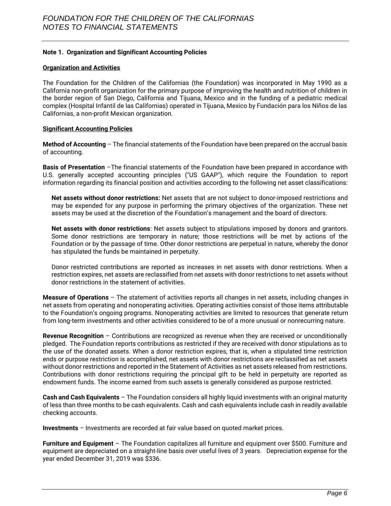## **Note 1. Organization and Significant Accounting Policies**

#### **Organization and Activities**

The Foundation for the Children of the Californias (the Foundation) was incorporated in May 1990 as a California non-profit organization for the primary purpose of improving the health and nutrition of children in the border region of San Diego, California and Tijuana, Mexico and in the funding of a pediatric medical complex (Hospital Infantil de las Californias) operated in Tijuana, Mexico by Fundación para los Niños de las Californias, a non-profit Mexican organization.

### **Significant Accounting Policies**

**Method of Accounting** – The financial statements of the Foundation have been prepared on the accrual basis of accounting.

**Basis of Presentation** –The financial statements of the Foundation have been prepared in accordance with U.S. generally accepted accounting principles ("US GAAP"), which require the Foundation to report information regarding its financial position and activities according to the following net asset classifications:

**Net assets without donor restrictions:** Net assets that are not subject to donor-imposed restrictions and may be expended for any purpose in performing the primary objectives of the organization. These net assets may be used at the discretion of the Foundation's management and the board of directors.

**Net assets with donor restrictions**: Net assets subject to stipulations imposed by donors and grantors. Some donor restrictions are temporary in nature; those restrictions will be met by actions of the Foundation or by the passage of time. Other donor restrictions are perpetual in nature, whereby the donor has stipulated the funds be maintained in perpetuity.

Donor restricted contributions are reported as increases in net assets with donor restrictions. When a restriction expires, net assets are reclassified from net assets with donor restrictions to net assets without donor restrictions in the statement of activities.

**Measure of Operations** – The statement of activities reports all changes in net assets, including changes in net assets from operating and nonoperating activities. Operating activities consist of those items attributable to the Foundation's ongoing programs. Nonoperating activities are limited to resources that generate return from long-term investments and other activities considered to be of a more unusual or nonrecurring nature.

**Revenue Recognition** – Contributions are recognized as revenue when they are received or unconditionally pledged. The Foundation reports contributions as restricted if they are received with donor stipulations as to the use of the donated assets. When a donor restriction expires, that is, when a stipulated time restriction ends or purpose restriction is accomplished, net assets with donor restrictions are reclassified as net assets without donor restrictions and reported in the Statement of Activities as net assets released from restrictions. Contributions with donor restrictions requiring the principal gift to be held in perpetuity are reported as endowment funds. The income earned from such assets is generally considered as purpose restricted.

**Cash and Cash Equivalents** – The Foundation considers all highly liquid investments with an original maturity of less than three months to be cash equivalents. Cash and cash equivalents include cash in readily available checking accounts.

**Investments** *–* Investments are recorded at fair value based on quoted market prices.

**Furniture and Equipment** – The Foundation capitalizes all furniture and equipment over \$500. Furniture and equipment are depreciated on a straight-line basis over useful lives of 3 years. Depreciation expense for the year ended December 31, 2019 was \$336.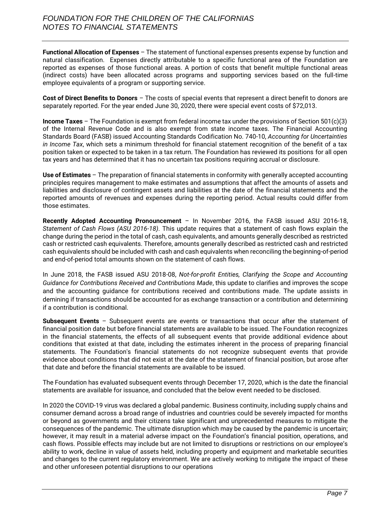**Functional Allocation of Expenses** – The statement of functional expenses presents expense by function and natural classification. Expenses directly attributable to a specific functional area of the Foundation are reported as expenses of those functional areas. A portion of costs that benefit multiple functional areas (indirect costs) have been allocated across programs and supporting services based on the full-time employee equivalents of a program or supporting service.

**Cost of Direct Benefits to Donors** *–* The costs of special events that represent a direct benefit to donors are separately reported. For the year ended June 30, 2020, there were special event costs of \$72,013.

**Income Taxes** – The Foundation is exempt from federal income tax under the provisions of Section 501(c)(3) of the Internal Revenue Code and is also exempt from state income taxes. The Financial Accounting Standards Board (FASB) issued Accounting Standards Codification No. 740-10, *Accounting for Uncertainties in Income Tax*, which sets a minimum threshold for financial statement recognition of the benefit of a tax position taken or expected to be taken in a tax return. The Foundation has reviewed its positions for all open tax years and has determined that it has no uncertain tax positions requiring accrual or disclosure.

**Use of Estimates** – The preparation of financial statements in conformity with generally accepted accounting principles requires management to make estimates and assumptions that affect the amounts of assets and liabilities and disclosure of contingent assets and liabilities at the date of the financial statements and the reported amounts of revenues and expenses during the reporting period. Actual results could differ from those estimates.

**Recently Adopted Accounting Pronouncement** – In November 2016, the FASB issued ASU 2016-18, *Statement of Cash Flows (ASU 2016-18)*. This update requires that a statement of cash flows explain the change during the period in the total of cash, cash equivalents, and amounts generally described as restricted cash or restricted cash equivalents. Therefore, amounts generally described as restricted cash and restricted cash equivalents should be included with cash and cash equivalents when reconciling the beginning-of-period and end-of-period total amounts shown on the statement of cash flows.

In June 2018, the FASB issued ASU 2018-08, *Not-for-profit Entities, Clarifying the Scope and Accounting Guidance for Contributions Received and Contributions Made*, this update to clarifies and improves the scope and the accounting guidance for contributions received and contributions made. The update assists in demining if transactions should be accounted for as exchange transaction or a contribution and determining if a contribution is conditional.

**Subsequent Events** – Subsequent events are events or transactions that occur after the statement of financial position date but before financial statements are available to be issued. The Foundation recognizes in the financial statements, the effects of all subsequent events that provide additional evidence about conditions that existed at that date, including the estimates inherent in the process of preparing financial statements. The Foundation's financial statements do not recognize subsequent events that provide evidence about conditions that did not exist at the date of the statement of financial position, but arose after that date and before the financial statements are available to be issued.

The Foundation has evaluated subsequent events through December 17, 2020, which is the date the financial statements are available for issuance, and concluded that the below event needed to be disclosed.

In 2020 the COVID-19 virus was declared a global pandemic. Business continuity, including supply chains and consumer demand across a broad range of industries and countries could be severely impacted for months or beyond as governments and their citizens take significant and unprecedented measures to mitigate the consequences of the pandemic. The ultimate disruption which may be caused by the pandemic is uncertain; however, it may result in a material adverse impact on the Foundation's financial position, operations, and cash flows. Possible effects may include but are not limited to disruptions or restrictions on our employee's ability to work, decline in value of assets held, including property and equipment and marketable securities and changes to the current regulatory environment. We are actively working to mitigate the impact of these and other unforeseen potential disruptions to our operations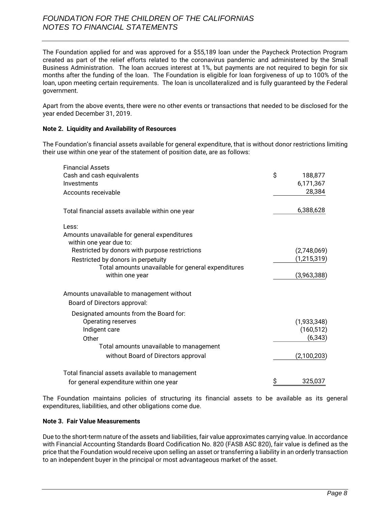# *FOUNDATION FOR THE CHILDREN OF THE CALIFORNIAS NOTES TO FINANCIAL STATEMENTS*

The Foundation applied for and was approved for a \$55,189 loan under the Paycheck Protection Program created as part of the relief efforts related to the coronavirus pandemic and administered by the Small Business Administration. The loan accrues interest at 1%, but payments are not required to begin for six months after the funding of the loan. The Foundation is eligible for loan forgiveness of up to 100% of the loan, upon meeting certain requirements. The loan is uncollateralized and is fully guaranteed by the Federal government.

Apart from the above events, there were no other events or transactions that needed to be disclosed for the year ended December 31, 2019.

## **Note 2. Liquidity and Availability of Resources**

The Foundation's financial assets available for general expenditure, that is without donor restrictions limiting their use within one year of the statement of position date, are as follows:

| <b>Financial Assets</b>                                                                                                                                                                                                                                                                                                                                                                                                   |               |
|---------------------------------------------------------------------------------------------------------------------------------------------------------------------------------------------------------------------------------------------------------------------------------------------------------------------------------------------------------------------------------------------------------------------------|---------------|
| Cash and cash equivalents                                                                                                                                                                                                                                                                                                                                                                                                 | \$<br>188,877 |
| Investments                                                                                                                                                                                                                                                                                                                                                                                                               | 6,171,367     |
| Accounts receivable                                                                                                                                                                                                                                                                                                                                                                                                       | 28,384        |
| Total financial assets available within one year                                                                                                                                                                                                                                                                                                                                                                          | 6,388,628     |
| Less:                                                                                                                                                                                                                                                                                                                                                                                                                     |               |
| Amounts unavailable for general expenditures<br>within one year due to:                                                                                                                                                                                                                                                                                                                                                   |               |
| Restricted by donors with purpose restrictions                                                                                                                                                                                                                                                                                                                                                                            | (2,748,069)   |
| Restricted by donors in perpetuity                                                                                                                                                                                                                                                                                                                                                                                        | (1, 215, 319) |
| Total amounts unavailable for general expenditures                                                                                                                                                                                                                                                                                                                                                                        |               |
| within one year                                                                                                                                                                                                                                                                                                                                                                                                           | (3,963,388)   |
| Amounts unavailable to management without                                                                                                                                                                                                                                                                                                                                                                                 |               |
| Board of Directors approval:                                                                                                                                                                                                                                                                                                                                                                                              |               |
| Designated amounts from the Board for:                                                                                                                                                                                                                                                                                                                                                                                    |               |
| Operating reserves                                                                                                                                                                                                                                                                                                                                                                                                        | (1,933,348)   |
| Indigent care                                                                                                                                                                                                                                                                                                                                                                                                             | (160, 512)    |
| Other                                                                                                                                                                                                                                                                                                                                                                                                                     | (6, 343)      |
| Total amounts unavailable to management                                                                                                                                                                                                                                                                                                                                                                                   |               |
| without Board of Directors approval                                                                                                                                                                                                                                                                                                                                                                                       | (2,100,203)   |
| Total financial assets available to management                                                                                                                                                                                                                                                                                                                                                                            |               |
| for general expenditure within one year                                                                                                                                                                                                                                                                                                                                                                                   | \$<br>325,037 |
| The Foundation maintains policies of structuring its financial assets to be available as its<br>expenditures, liabilities, and other obligations come due.                                                                                                                                                                                                                                                                |               |
| <b>Note 3. Fair Value Measurements</b>                                                                                                                                                                                                                                                                                                                                                                                    |               |
| Due to the short-term nature of the assets and liabilities, fair value approximates carrying value. In accc<br>with Financial Accounting Standards Board Codification No. 820 (FASB ASC 820), fair value is defined<br>price that the Foundation would receive upon selling an asset or transferring a liability in an orderly tran<br>to an independent buyer in the principal or most advantageous market of the asset. |               |

The Foundation maintains policies of structuring its financial assets to be available as its general expenditures, liabilities, and other obligations come due.

## **Note 3. Fair Value Measurements**

Due to the short-term nature of the assets and liabilities, fair value approximates carrying value. In accordance with Financial Accounting Standards Board Codification No. 820 (FASB ASC 820), fair value is defined as the price that the Foundation would receive upon selling an asset or transferring a liability in an orderly transaction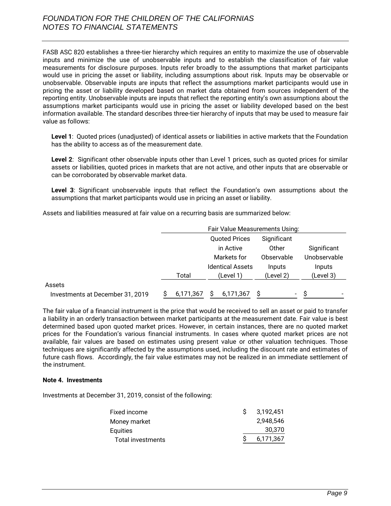FASB ASC 820 establishes a three-tier hierarchy which requires an entity to maximize the use of observable inputs and minimize the use of unobservable inputs and to establish the classification of fair value measurements for disclosure purposes. Inputs refer broadly to the assumptions that market participants would use in pricing the asset or liability, including assumptions about risk. Inputs may be observable or unobservable. Observable inputs are inputs that reflect the assumptions market participants would use in pricing the asset or liability developed based on market data obtained from sources independent of the reporting entity. Unobservable inputs are inputs that reflect the reporting entity's own assumptions about the assumptions market participants would use in pricing the asset or liability developed based on the best information available. The standard describes three-tier hierarchy of inputs that may be used to measure fair value as follows:

**Level 1**: Quoted prices (unadjusted) of identical assets or liabilities in active markets that the Foundation has the ability to access as of the measurement date.

**Level 2**: Significant other observable inputs other than Level 1 prices, such as quoted prices for similar assets or liabilities, quoted prices in markets that are not active, and other inputs that are observable or can be corroborated by observable market data.

**Level 3**: Significant unobservable inputs that reflect the Foundation's own assumptions about the assumptions that market participants would use in pricing an asset or liability.

Assets and liabilities measured at fair value on a recurring basis are summarized below:

|                                  | Fair Value Measurements Using: |                                     |              |             |  |  |
|----------------------------------|--------------------------------|-------------------------------------|--------------|-------------|--|--|
|                                  |                                | <b>Quoted Prices</b><br>Significant |              |             |  |  |
|                                  |                                | in Active                           | Other        | Significant |  |  |
|                                  |                                | Markets for                         | Unobservable |             |  |  |
|                                  |                                | <b>Identical Assets</b>             | Inputs       | Inputs      |  |  |
|                                  | Total                          | (Level 1)                           | (Level 2)    | (Level 3)   |  |  |
| Assets                           |                                |                                     |              |             |  |  |
| Investments at December 31, 2019 | 6,171,367                      | 6,171,367                           | Ξ.           | -S          |  |  |

The fair value of a financial instrument is the price that would be received to sell an asset or paid to transfer a liability in an orderly transaction between market participants at the measurement date. Fair value is best determined based upon quoted market prices. However, in certain instances, there are no quoted market prices for the Foundation's various financial instruments. In cases where quoted market prices are not available, fair values are based on estimates using present value or other valuation techniques. Those techniques are significantly affected by the assumptions used, including the discount rate and estimates of future cash flows. Accordingly, the fair value estimates may not be realized in an immediate settlement of the instrument.

#### **Note 4. Investments**

Investments at December 31, 2019, consist of the following:

| Fixed income      | 3.192.451 |
|-------------------|-----------|
| Money market      | 2.948.546 |
| Equities          | 30.370    |
| Total investments | 6,171,367 |
|                   |           |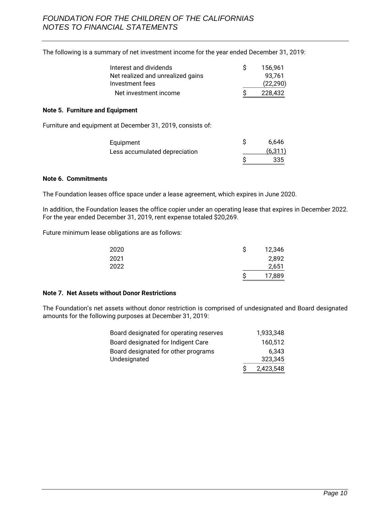The following is a summary of net investment income for the year ended December 31, 2019:

| Interest and dividends            | 156.961   |
|-----------------------------------|-----------|
| Net realized and unrealized gains | 93.761    |
| Investment fees                   | (22, 290) |
| Net investment income             | 228.432   |

#### **Note 5. Furniture and Equipment**

Furniture and equipment at December 31, 2019, consists of:

| Equipment                     | 6.646    |
|-------------------------------|----------|
| Less accumulated depreciation | (6, 311) |
|                               | 335      |

## **Note 6. Commitments**

The Foundation leases office space under a lease agreement, which expires in June 2020.

In addition, the Foundation leases the office copier under an operating lease that expires in December 2022. For the year ended December 31, 2019, rent expense totaled \$20,269.

Future minimum lease obligations are as follows:

| 2020 | S | 12,346 |
|------|---|--------|
| 2021 |   | 2,892  |
| 2022 |   | 2,651  |
|      | c | 17,889 |

#### **Note 7. Net Assets without Donor Restrictions**

The Foundation's net assets without donor restriction is comprised of undesignated and Board designated amounts for the following purposes at December 31, 2019:

| Board designated for operating reserves | 1.933.348 |
|-----------------------------------------|-----------|
| Board designated for Indigent Care      | 160,512   |
| Board designated for other programs     | 6.343     |
| Undesignated                            | 323.345   |
|                                         | 2,423,548 |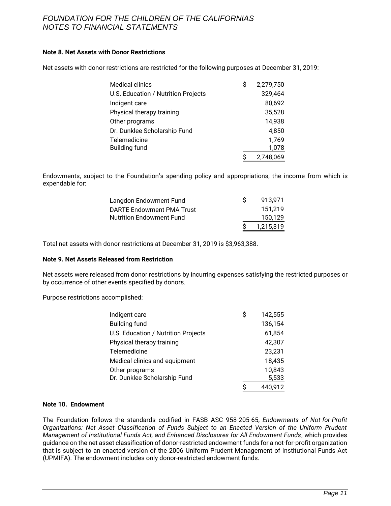## **Note 8. Net Assets with Donor Restrictions**

Net assets with donor restrictions are restricted for the following purposes at December 31, 2019:

| <b>Medical clinics</b>              | S | 2,279,750 |
|-------------------------------------|---|-----------|
| U.S. Education / Nutrition Projects |   | 329,464   |
| Indigent care                       |   | 80,692    |
| Physical therapy training           |   | 35,528    |
| Other programs                      |   | 14,938    |
| Dr. Dunklee Scholarship Fund        |   | 4,850     |
| Telemedicine                        |   | 1,769     |
| <b>Building fund</b>                |   | 1,078     |
|                                     |   | 2,748,069 |

Endowments, subject to the Foundation's spending policy and appropriations, the income from which is expendable for:

|                                 |    | 1.215.319 |
|---------------------------------|----|-----------|
| <b>Nutrition Endowment Fund</b> |    | 150.129   |
| DARTE Endowment PMA Trust       |    | 151.219   |
| Langdon Endowment Fund          | S. | 913.971   |

Total net assets with donor restrictions at December 31, 2019 is \$3,963,388.

#### **Note 9. Net Assets Released from Restriction**

Net assets were released from donor restrictions by incurring expenses satisfying the restricted purposes or by occurrence of other events specified by donors.

Purpose restrictions accomplished:

| Indigent care                       | \$<br>142,555 |
|-------------------------------------|---------------|
| <b>Building fund</b>                | 136,154       |
| U.S. Education / Nutrition Projects | 61,854        |
| Physical therapy training           | 42,307        |
| Telemedicine                        | 23,231        |
| Medical clinics and equipment       | 18,435        |
| Other programs                      | 10,843        |
| Dr. Dunklee Scholarship Fund        | 5,533         |
|                                     | \$<br>440,912 |

#### **Note 10. Endowment**

The Foundation follows the standards codified in FASB ASC 958-205-65, *Endowments of Not-for-Profit Organizations: Net Asset Classification of Funds Subject to an Enacted Version of the Uniform Prudent Management of Institutional Funds Act, and Enhanced Disclosures for All Endowment Funds*, which provides guidance on the net asset classification of donor-restricted endowment funds for a not-for-profit organization that is subject to an enacted version of the 2006 Uniform Prudent Management of Institutional Funds Act (UPMIFA). The endowment includes only donor-restricted endowment funds.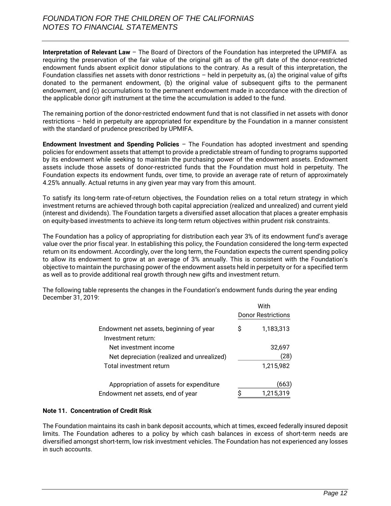**Interpretation of Relevant Law** – The Board of Directors of the Foundation has interpreted the UPMIFA as requiring the preservation of the fair value of the original gift as of the gift date of the donor-restricted endowment funds absent explicit donor stipulations to the contrary. As a result of this interpretation, the Foundation classifies net assets with donor restrictions – held in perpetuity as, (a) the original value of gifts donated to the permanent endowment, (b) the original value of subsequent gifts to the permanent endowment, and (c) accumulations to the permanent endowment made in accordance with the direction of the applicable donor gift instrument at the time the accumulation is added to the fund.

The remaining portion of the donor-restricted endowment fund that is not classified in net assets with donor restrictions – held in perpetuity are appropriated for expenditure by the Foundation in a manner consistent with the standard of prudence prescribed by UPMIFA.

**Endowment Investment and Spending Policies** – The Foundation has adopted investment and spending policies for endowment assets that attempt to provide a predictable stream of funding to programs supported by its endowment while seeking to maintain the purchasing power of the endowment assets. Endowment assets include those assets of donor-restricted funds that the Foundation must hold in perpetuity. The Foundation expects its endowment funds, over time, to provide an average rate of return of approximately 4.25% annually. Actual returns in any given year may vary from this amount.

To satisfy its long-term rate-of-return objectives, the Foundation relies on a total return strategy in which investment returns are achieved through both capital appreciation (realized and unrealized) and current yield (interest and dividends). The Foundation targets a diversified asset allocation that places a greater emphasis on equity-based investments to achieve its long-term return objectives within prudent risk constraints.

The Foundation has a policy of appropriating for distribution each year 3% of its endowment fund's average value over the prior fiscal year. In establishing this policy, the Foundation considered the long-term expected return on its endowment. Accordingly, over the long term, the Foundation expects the current spending policy to allow its endowment to grow at an average of 3% annually. This is consistent with the Foundation's objective to maintain the purchasing power of the endowment assets held in perpetuity or for a specified term as well as to provide additional real growth through new gifts and investment return.

The following table represents the changes in the Foundation's endowment funds during the year ending December 31, 2019:

|                                            | With |                           |
|--------------------------------------------|------|---------------------------|
|                                            |      | <b>Donor Restrictions</b> |
| Endowment net assets, beginning of year    | S    | 1,183,313                 |
| Investment return:                         |      |                           |
| Net investment income                      |      | 32,697                    |
| Net depreciation (realized and unrealized) |      | 28)                       |
| Total investment return                    |      | 1,215,982                 |
| Appropriation of assets for expenditure    |      | (663)                     |
| Endowment net assets, end of year          | c    | 1,215,319                 |

## **Note 11. Concentration of Credit Risk**

The Foundation maintains its cash in bank deposit accounts, which at times, exceed federally insured deposit limits. The Foundation adheres to a policy by which cash balances in excess of short-term needs are diversified amongst short-term, low risk investment vehicles. The Foundation has not experienced any losses in such accounts.